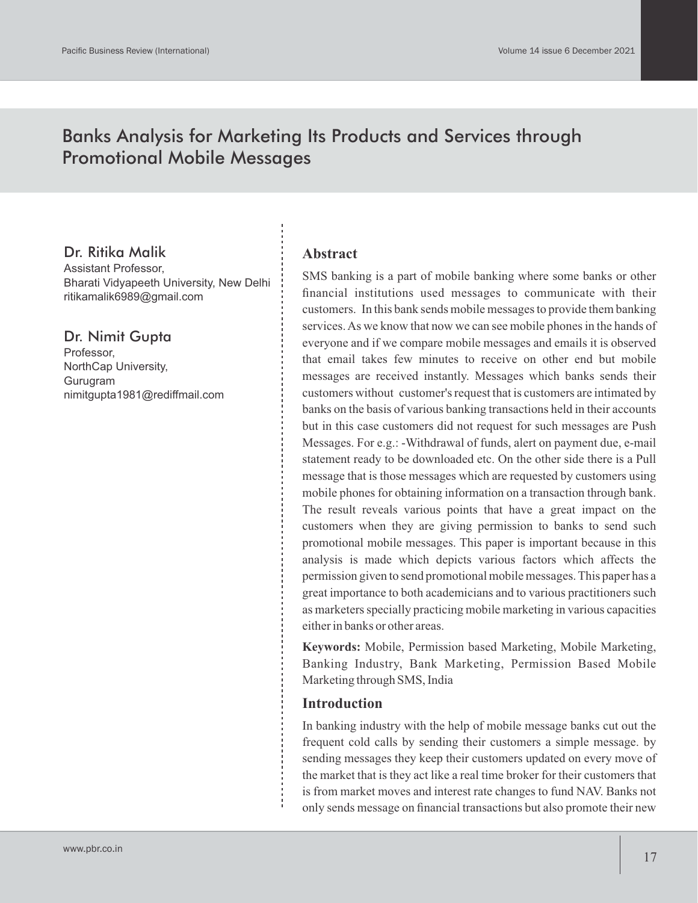# Banks Analysis for Marketing Its Products and Services through Promotional Mobile Messages

# Dr. Ritika Malik

Assistant Professor, Bharati Vidyapeeth University, New Delhi ritikamalik6989@gmail.com

# Dr. Nimit Gupta

Professor, NorthCap University, Gurugram nimitgupta1981@rediffmail.com

### **Abstract**

SMS banking is a part of mobile banking where some banks or other financial institutions used messages to communicate with their customers. In this bank sends mobile messages to provide them banking services. As we know that now we can see mobile phones in the hands of everyone and if we compare mobile messages and emails it is observed that email takes few minutes to receive on other end but mobile messages are received instantly. Messages which banks sends their customers without customer's request that is customers are intimated by banks on the basis of various banking transactions held in their accounts but in this case customers did not request for such messages are Push Messages. For e.g.: -Withdrawal of funds, alert on payment due, e-mail statement ready to be downloaded etc. On the other side there is a Pull message that is those messages which are requested by customers using mobile phones for obtaining information on a transaction through bank. The result reveals various points that have a great impact on the customers when they are giving permission to banks to send such promotional mobile messages. This paper is important because in this analysis is made which depicts various factors which affects the permission given to send promotional mobile messages. This paper has a great importance to both academicians and to various practitioners such as marketers specially practicing mobile marketing in various capacities either in banks or other areas.

**Keywords:** Mobile, Permission based Marketing, Mobile Marketing, Banking Industry, Bank Marketing, Permission Based Mobile Marketing through SMS, India

#### **Introduction**

In banking industry with the help of mobile message banks cut out the frequent cold calls by sending their customers a simple message. by sending messages they keep their customers updated on every move of the market that is they act like a real time broker for their customers that is from market moves and interest rate changes to fund NAV. Banks not only sends message on financial transactions but also promote their new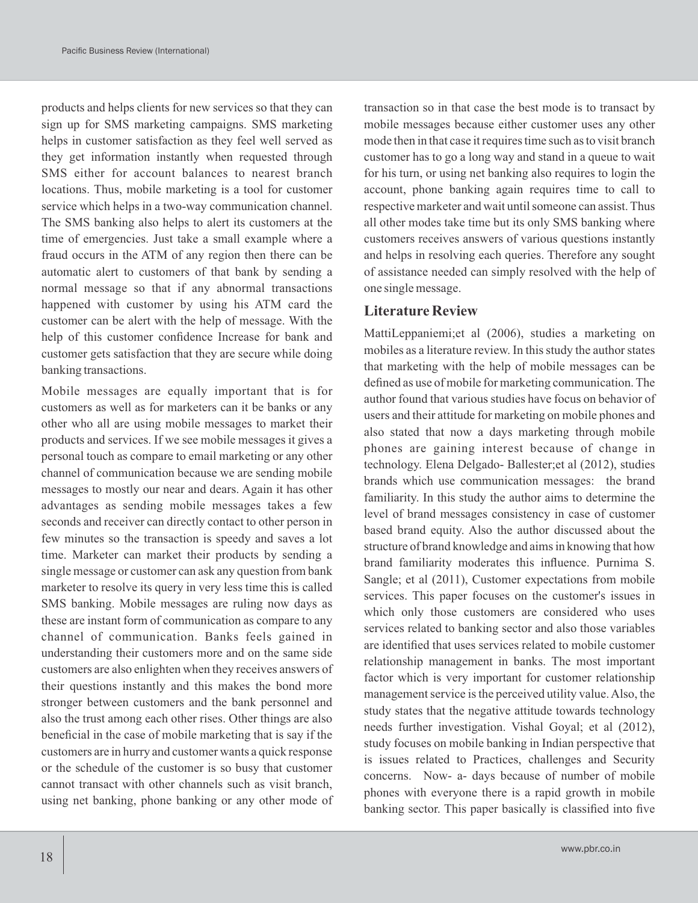products and helps clients for new services so that they can sign up for SMS marketing campaigns. SMS marketing helps in customer satisfaction as they feel well served as they get information instantly when requested through SMS either for account balances to nearest branch locations. Thus, mobile marketing is a tool for customer service which helps in a two-way communication channel. The SMS banking also helps to alert its customers at the time of emergencies. Just take a small example where a fraud occurs in the ATM of any region then there can be automatic alert to customers of that bank by sending a normal message so that if any abnormal transactions happened with customer by using his ATM card the customer can be alert with the help of message. With the help of this customer confidence Increase for bank and customer gets satisfaction that they are secure while doing banking transactions.

Mobile messages are equally important that is for customers as well as for marketers can it be banks or any other who all are using mobile messages to market their products and services. If we see mobile messages it gives a personal touch as compare to email marketing or any other channel of communication because we are sending mobile messages to mostly our near and dears. Again it has other advantages as sending mobile messages takes a few seconds and receiver can directly contact to other person in few minutes so the transaction is speedy and saves a lot time. Marketer can market their products by sending a single message or customer can ask any question from bank marketer to resolve its query in very less time this is called SMS banking. Mobile messages are ruling now days as these are instant form of communication as compare to any channel of communication. Banks feels gained in understanding their customers more and on the same side customers are also enlighten when they receives answers of their questions instantly and this makes the bond more stronger between customers and the bank personnel and also the trust among each other rises. Other things are also beneficial in the case of mobile marketing that is say if the customers are in hurry and customer wants a quick response or the schedule of the customer is so busy that customer cannot transact with other channels such as visit branch, using net banking, phone banking or any other mode of transaction so in that case the best mode is to transact by mobile messages because either customer uses any other mode then in that case it requires time such as to visit branch customer has to go a long way and stand in a queue to wait for his turn, or using net banking also requires to login the account, phone banking again requires time to call to respective marketer and wait until someone can assist. Thus all other modes take time but its only SMS banking where customers receives answers of various questions instantly and helps in resolving each queries. Therefore any sought of assistance needed can simply resolved with the help of one single message.

#### **Literature Review**

MattiLeppaniemi;et al (2006), studies a marketing on mobiles as a literature review. In this study the author states that marketing with the help of mobile messages can be defined as use of mobile for marketing communication. The author found that various studies have focus on behavior of users and their attitude for marketing on mobile phones and also stated that now a days marketing through mobile phones are gaining interest because of change in technology. Elena Delgado- Ballester;et al (2012), studies brands which use communication messages: the brand familiarity. In this study the author aims to determine the level of brand messages consistency in case of customer based brand equity. Also the author discussed about the structure of brand knowledge and aims in knowing that how brand familiarity moderates this influence. Purnima S. Sangle; et al (2011), Customer expectations from mobile services. This paper focuses on the customer's issues in which only those customers are considered who uses services related to banking sector and also those variables are identified that uses services related to mobile customer relationship management in banks. The most important factor which is very important for customer relationship management service is the perceived utility value. Also, the study states that the negative attitude towards technology needs further investigation. Vishal Goyal; et al (2012), study focuses on mobile banking in Indian perspective that is issues related to Practices, challenges and Security concerns. Now- a- days because of number of mobile phones with everyone there is a rapid growth in mobile banking sector. This paper basically is classified into five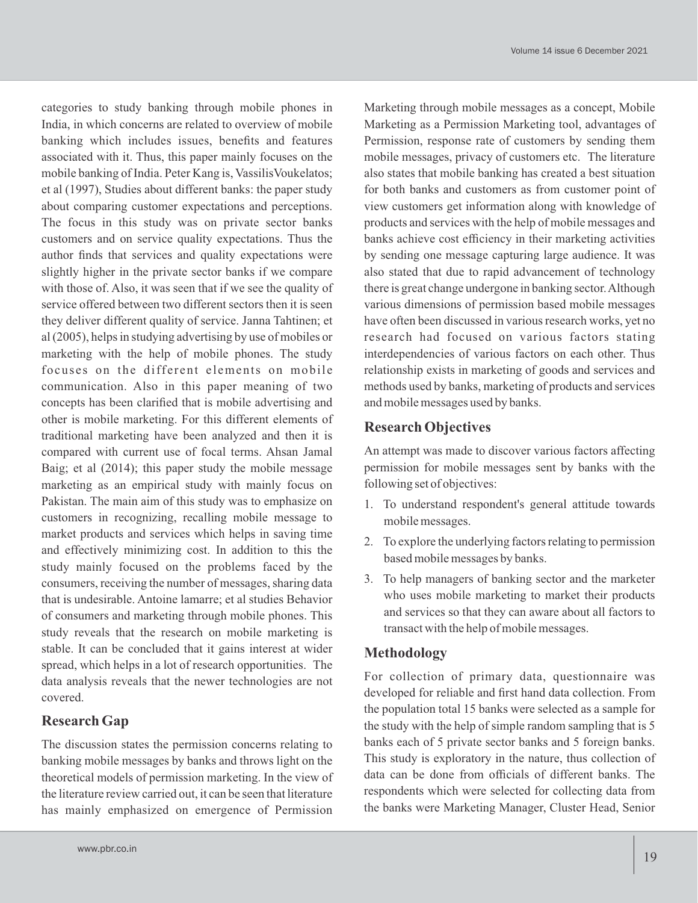categories to study banking through mobile phones in India, in which concerns are related to overview of mobile banking which includes issues, benefits and features associated with it. Thus, this paper mainly focuses on the mobile banking of India. Peter Kang is, VassilisVoukelatos; et al (1997), Studies about different banks: the paper study about comparing customer expectations and perceptions. The focus in this study was on private sector banks customers and on service quality expectations. Thus the author finds that services and quality expectations were slightly higher in the private sector banks if we compare with those of. Also, it was seen that if we see the quality of service offered between two different sectors then it is seen they deliver different quality of service. Janna Tahtinen; et al (2005), helps in studying advertising by use of mobiles or marketing with the help of mobile phones. The study focuses on the different elements on mobile communication. Also in this paper meaning of two concepts has been clarified that is mobile advertising and other is mobile marketing. For this different elements of traditional marketing have been analyzed and then it is compared with current use of focal terms. Ahsan Jamal Baig; et al (2014); this paper study the mobile message marketing as an empirical study with mainly focus on Pakistan. The main aim of this study was to emphasize on customers in recognizing, recalling mobile message to market products and services which helps in saving time and effectively minimizing cost. In addition to this the study mainly focused on the problems faced by the consumers, receiving the number of messages, sharing data that is undesirable. Antoine lamarre; et al studies Behavior of consumers and marketing through mobile phones. This study reveals that the research on mobile marketing is stable. It can be concluded that it gains interest at wider spread, which helps in a lot of research opportunities. The data analysis reveals that the newer technologies are not covered.

### **Research Gap**

The discussion states the permission concerns relating to banking mobile messages by banks and throws light on the theoretical models of permission marketing. In the view of the literature review carried out, it can be seen that literature has mainly emphasized on emergence of Permission

Marketing through mobile messages as a concept, Mobile Marketing as a Permission Marketing tool, advantages of Permission, response rate of customers by sending them mobile messages, privacy of customers etc. The literature also states that mobile banking has created a best situation for both banks and customers as from customer point of view customers get information along with knowledge of products and services with the help of mobile messages and banks achieve cost efficiency in their marketing activities by sending one message capturing large audience. It was also stated that due to rapid advancement of technology there is great change undergone in banking sector. Although various dimensions of permission based mobile messages have often been discussed in various research works, yet no research had focused on various factors stating interdependencies of various factors on each other. Thus relationship exists in marketing of goods and services and methods used by banks, marketing of products and services and mobile messages used by banks.

# **Research Objectives**

An attempt was made to discover various factors affecting permission for mobile messages sent by banks with the following set of objectives:

- 1. To understand respondent's general attitude towards mobile messages.
- 2. To explore the underlying factors relating to permission based mobile messages by banks.
- 3. To help managers of banking sector and the marketer who uses mobile marketing to market their products and services so that they can aware about all factors to transact with the help of mobile messages.

# **Methodology**

For collection of primary data, questionnaire was developed for reliable and first hand data collection. From the population total 15 banks were selected as a sample for the study with the help of simple random sampling that is 5 banks each of 5 private sector banks and 5 foreign banks. This study is exploratory in the nature, thus collection of data can be done from officials of different banks. The respondents which were selected for collecting data from the banks were Marketing Manager, Cluster Head, Senior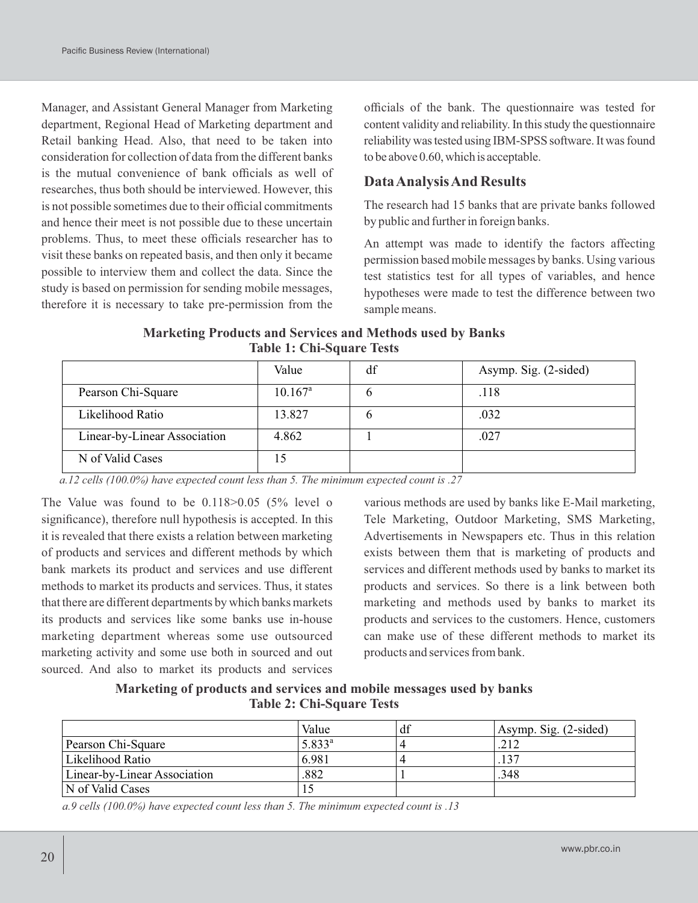Manager, and Assistant General Manager from Marketing department, Regional Head of Marketing department and Retail banking Head. Also, that need to be taken into consideration for collection of data from the different banks is the mutual convenience of bank officials as well of researches, thus both should be interviewed. However, this is not possible sometimes due to their official commitments and hence their meet is not possible due to these uncertain problems. Thus, to meet these officials researcher has to visit these banks on repeated basis, and then only it became possible to interview them and collect the data. Since the study is based on permission for sending mobile messages, therefore it is necessary to take pre-permission from the

officials of the bank. The questionnaire was tested for content validity and reliability. In this study the questionnaire reliability was tested using IBM-SPSS software. It was found tobe above0.60,which is acceptable.

## **Data Analysis And Results**

The research had 15 banks that are private banks followed by public and further in foreign banks.

An attempt was made to identify the factors affecting permission based mobile messages by banks. Using various test statistics test for all types of variables, and hence hypotheses were made to test the difference between two sample means.

| <b>Marketing Products and Services and Methods used by Banks</b> |
|------------------------------------------------------------------|
| <b>Table 1: Chi-Square Tests</b>                                 |

|                              | Value      | df | Asymp. Sig. (2-sided) |
|------------------------------|------------|----|-----------------------|
| Pearson Chi-Square           | $10.167^a$ |    | .118                  |
| Likelihood Ratio             | 13.827     |    | .032                  |
| Linear-by-Linear Association | 4.862      |    | .027                  |
| N of Valid Cases             |            |    |                       |

*a. 12 cells (100.0%) have expected count less than 5. The minimum expected count is .27*

The Value was found to be 0.118>0.05 (5% level o significance), therefore null hypothesis is accepted. In this it is revealed that there exists a relation between marketing of products and services and different methods by which bank markets its product and services and use different methods to market its products and services. Thus, it states that there are different departments by which banks markets its products and services like some banks use in-house marketing department whereas some use outsourced marketing activity and some use both in sourced and out sourced. And also to market its products and services

various methods are used by banks like E-Mail marketing, Tele Marketing, Outdoor Marketing, SMS Marketing, Advertisements in Newspapers etc. Thus in this relation exists between them that is marketing of products and services and different methods used by banks to market its products and services. So there is a link between both marketing and methods used by banks to market its products and services to the customers. Hence, customers can make use of these different methods to market its products and services from bank.

**Marketing of products and services and mobile messages used by banks Table 2: Chi-Square Tests**

|                              | Value       | df | Asymp. Sig. (2-sided) |
|------------------------------|-------------|----|-----------------------|
| Pearson Chi-Square           | $5.833^{a}$ |    | 212                   |
| Likelihood Ratio             | 6.981       |    | 127                   |
| Linear-by-Linear Association | .882        |    | .348                  |
| N of Valid Cases             | 10          |    |                       |

*a. 9 cells (100.0%) have expected count less than 5. The minimum expected count is .13*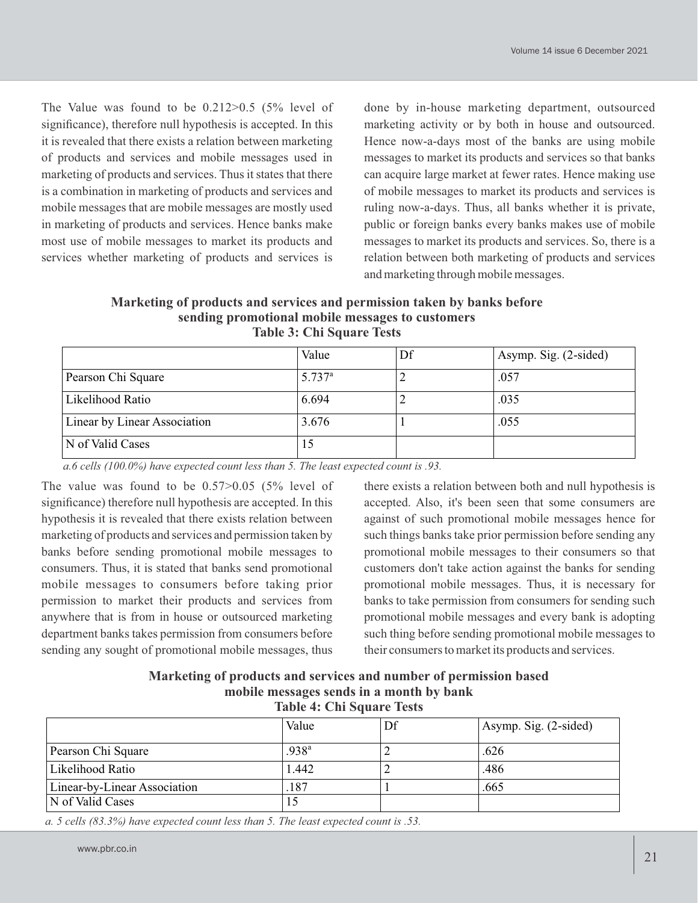The Value was found to be 0.212>0.5 (5% level of significance), therefore null hypothesis is accepted. In this it is revealed that there exists a relation between marketing of products and services and mobile messages used in marketing of products and services. Thus it states that there is a combination in marketing of products and services and mobile messages that are mobile messages are mostly used in marketing of products and services. Hence banks make most use of mobile messages to market its products and services whether marketing of products and services is

done by in-house marketing department, outsourced marketing activity or by both in house and outsourced. Hence now-a-days most of the banks are using mobile messages to market its products and services so that banks can acquire large market at fewer rates. Hence making use of mobile messages to market its products and services is ruling now-a-days. Thus, all banks whether it is private, public or foreign banks every banks makes use of mobile messages to market its products and services. So, there is a relation between both marketing of products and services and marketing through mobile messages.

**Marketing of products and services and permission taken by banks before sending promotional mobile messages to customers Table 3: Chi Square Tests**

|                              | Value       | Df | Asymp. Sig. (2-sided) |
|------------------------------|-------------|----|-----------------------|
| Pearson Chi Square           | $5.737^{a}$ |    | .057                  |
| Likelihood Ratio             | 6.694       | ∠  | .035                  |
| Linear by Linear Association | 3.676       |    | .055                  |
| N of Valid Cases             | 15          |    |                       |

*a. 6 cells (100.0%) have expected count less than 5. The least expected count is .93.*

The value was found to be 0.57>0.05 (5% level of significance) therefore null hypothesis are accepted. In this hypothesis it is revealed that there exists relation between marketing of products and services and permission taken by banks before sending promotional mobile messages to consumers. Thus, it is stated that banks send promotional mobile messages to consumers before taking prior permission to market their products and services from anywhere that is from in house or outsourced marketing department banks takes permission from consumers before sending any sought of promotional mobile messages, thus

there exists a relation between both and null hypothesis is accepted. Also, it's been seen that some consumers are against of such promotional mobile messages hence for such things banks take prior permission before sending any promotional mobile messages to their consumers so that customers don't take action against the banks for sending promotional mobile messages. Thus, it is necessary for banks to take permission from consumers for sending such promotional mobile messages and every bank is adopting such thing before sending promotional mobile messages to their consumers to market its products and services.

| Marketing of products and services and number of permission based |
|-------------------------------------------------------------------|
| mobile messages sends in a month by bank                          |
| <b>Table 4: Chi Square Tests</b>                                  |

|                              | Value             | Df | Asymp. Sig. (2-sided) |
|------------------------------|-------------------|----|-----------------------|
| Pearson Chi Square           | .938 <sup>a</sup> | ∸  | .626                  |
| Likelihood Ratio             | 1.442             | ∠  | .486                  |
| Linear-by-Linear Association | .187              |    | .665                  |
| N of Valid Cases             | 15                |    |                       |

*a. 5 cells (83.3%) have expected count less than 5. The least expected count is .53.*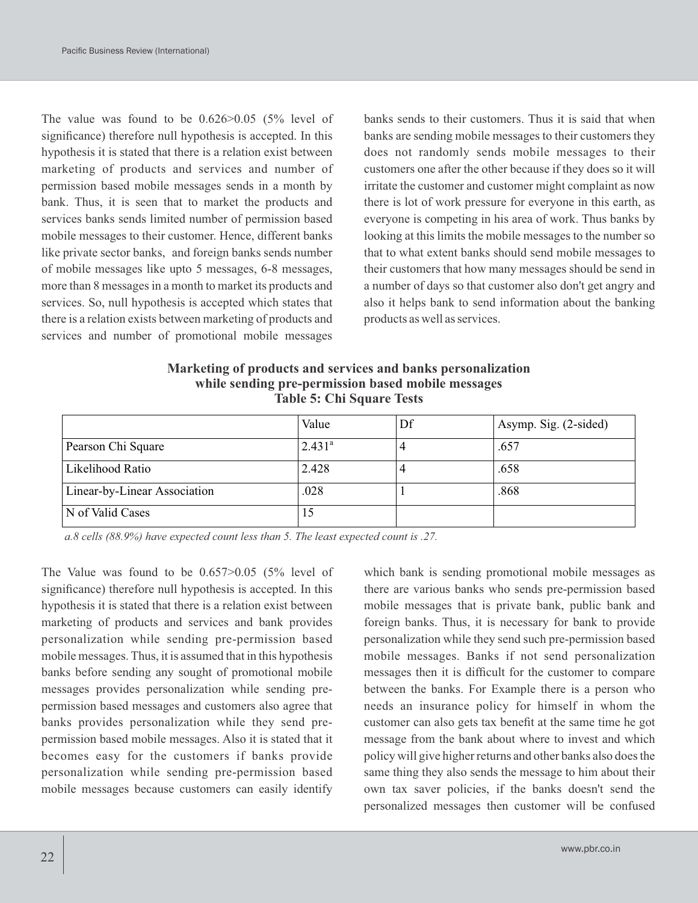The value was found to be 0.626>0.05 (5% level of significance) therefore null hypothesis is accepted. In this hypothesis it is stated that there is a relation exist between marketing of products and services and number of permission based mobile messages sends in a month by bank. Thus, it is seen that to market the products and services banks sends limited number of permission based mobile messages to their customer. Hence, different banks like private sector banks, and foreign banks sends number of mobile messages like upto 5 messages, 6-8 messages, more than 8 messages in a month to market its products and services. So, null hypothesis is accepted which states that there is a relation exists between marketing of products and services and number of promotional mobile messages

banks sends to their customers. Thus it is said that when banks are sending mobile messages to their customers they does not randomly sends mobile messages to their customers one after the other because if they does so it will irritate the customer and customer might complaint as now there is lot of work pressure for everyone in this earth, as everyone is competing in his area of work. Thus banks by looking at this limits the mobile messages to the number so that to what extent banks should send mobile messages to their customers that how many messages should be send in a number of days so that customer also don't get angry and also it helps bank to send information about the banking products as well as services.

| Marketing of products and services and banks personalization |
|--------------------------------------------------------------|
| while sending pre-permission based mobile messages           |
| <b>Table 5: Chi Square Tests</b>                             |

|                              | Value           | Df | Asymp. Sig. (2-sided) |
|------------------------------|-----------------|----|-----------------------|
| Pearson Chi Square           | $2.431^{\circ}$ | 4  | .657                  |
| Likelihood Ratio             | 2.428           | 4  | .658                  |
| Linear-by-Linear Association | .028            |    | .868                  |
| N of Valid Cases             | l5              |    |                       |

*a. 8 cells (88.9%) have expected count less than 5. The least expected count is .27.*

The Value was found to be  $0.657 > 0.05$  (5% level of significance) therefore null hypothesis is accepted. In this hypothesis it is stated that there is a relation exist between marketing of products and services and bank provides personalization while sending pre-permission based mobile messages. Thus, it is assumed that in this hypothesis banks before sending any sought of promotional mobile messages provides personalization while sending prepermission based messages and customers also agree that banks provides personalization while they send prepermission based mobile messages. Also it is stated that it becomes easy for the customers if banks provide personalization while sending pre-permission based mobile messages because customers can easily identify

which bank is sending promotional mobile messages as there are various banks who sends pre-permission based mobile messages that is private bank, public bank and foreign banks. Thus, it is necessary for bank to provide personalization while they send such pre-permission based mobile messages. Banks if not send personalization messages then it is difficult for the customer to compare between the banks. For Example there is a person who needs an insurance policy for himself in whom the customer can also gets tax benefit at the same time he got message from the bank about where to invest and which policy will give higher returns and other banks also does the same thing they also sends the message to him about their own tax saver policies, if the banks doesn't send the personalized messages then customer will be confused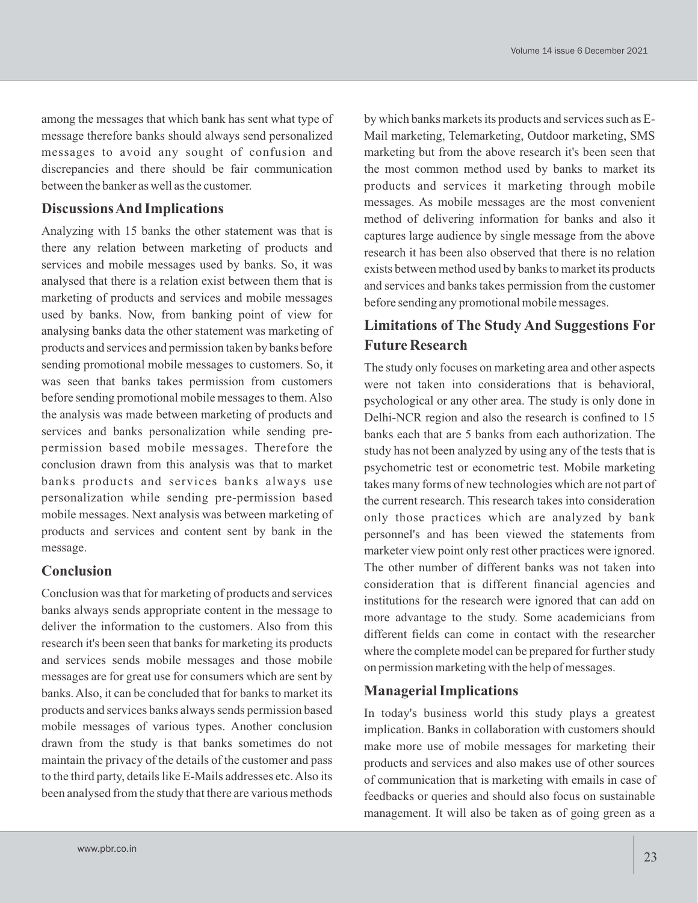among the messages that which bank has sent what type of message therefore banks should always send personalized messages to avoid any sought of confusion and discrepancies and there should be fair communication between the banker as well as the customer.

### **Discussions And Implications**

Analyzing with 15 banks the other statement was that is there any relation between marketing of products and services and mobile messages used by banks. So, it was analysed that there is a relation exist between them that is marketing of products and services and mobile messages used by banks. Now, from banking point of view for analysing banks data the other statement was marketing of products and services and permission taken by banks before sending promotional mobile messages to customers. So, it was seen that banks takes permission from customers before sending promotional mobile messages to them. Also the analysis was made between marketing of products and services and banks personalization while sending prepermission based mobile messages. Therefore the conclusion drawn from this analysis was that to market banks products and services banks always use personalization while sending pre-permission based mobile messages. Next analysis was between marketing of products and services and content sent by bank in the message.

#### **Conclusion**

Conclusion was that for marketing of products and services banks always sends appropriate content in the message to deliver the information to the customers. Also from this research it's been seen that banks for marketing its products and services sends mobile messages and those mobile messages are for great use for consumers which are sent by banks. Also, it can be concluded that for banks to market its products and services banks always sends permission based mobile messages of various types. Another conclusion drawn from the study is that banks sometimes do not maintain the privacy of the details of the customer and pass to the third party, details like E-Mails addresses etc. Also its been analysed from the study that there are various methods by which banks markets its products and services such as E-Mail marketing, Telemarketing, Outdoor marketing, SMS marketing but from the above research it's been seen that the most common method used by banks to market its products and services it marketing through mobile messages. As mobile messages are the most convenient method of delivering information for banks and also it captures large audience by single message from the above research it has been also observed that there is no relation exists between method used by banks to market its products and services and banks takes permission from the customer before sending any promotional mobile messages.

# **Limitations of The Study And Suggestions For Future Research**

The study only focuses on marketing area and other aspects were not taken into considerations that is behavioral, psychological or any other area. The study is only done in Delhi-NCR region and also the research is confined to 15 banks each that are 5 banks from each authorization. The study has not been analyzed by using any of the tests that is psychometric test or econometric test. Mobile marketing takes many forms of new technologies which are not part of the current research. This research takes into consideration only those practices which are analyzed by bank personnel's and has been viewed the statements from marketer view point only rest other practices were ignored. The other number of different banks was not taken into consideration that is different financial agencies and institutions for the research were ignored that can add on more advantage to the study. Some academicians from different fields can come in contact with the researcher where the complete model can be prepared for further study on permission marketing with the help of messages.

### **Managerial Implications**

In today's business world this study plays a greatest implication. Banks in collaboration with customers should make more use of mobile messages for marketing their products and services and also makes use of other sources of communication that is marketing with emails in case of feedbacks or queries and should also focus on sustainable management. It will also be taken as of going green as a